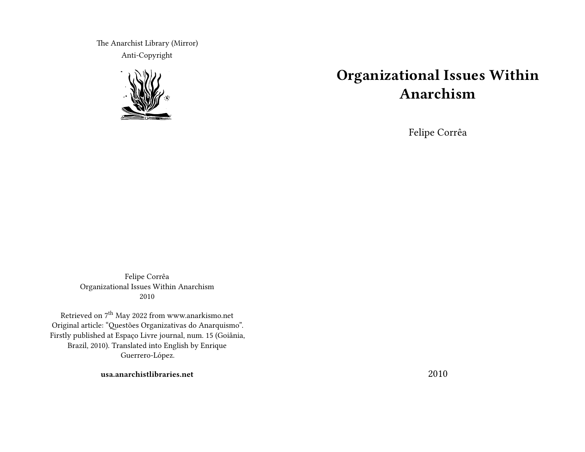The Anarchist Library (Mirror) Anti-Copyright



# **Organizational Issues Within Anarchism**

Felipe Corrêa

Felipe Corrêa Organizational Issues Within Anarchism 2010

Retrieved on  $7^{\rm th}$  May 2022 from www.anarkismo.net Original article: "Questões Organizativas do Anarquismo". Firstly published at Espaço Livre journal, num. 15 (Goiânia, Brazil, 2010). Translated into English by Enrique Guerrero-López.

**usa.anarchistlibraries.net**

2010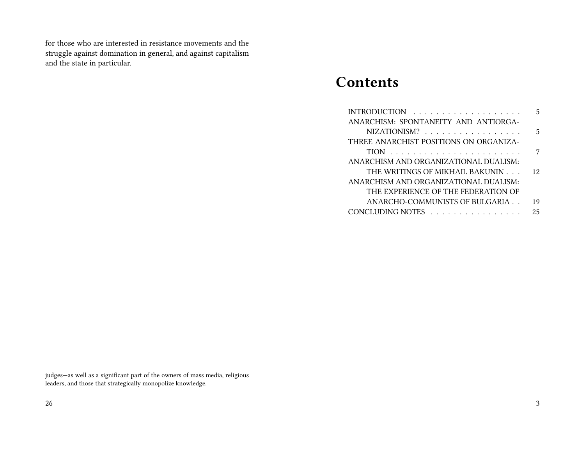for those who are interested in resistance movements and the struggle against domination in general, and against capitalism and the state in particular.

## **Contents**

|                                        | 5  |
|----------------------------------------|----|
| ANARCHISM: SPONTANEITY AND ANTIORGA-   |    |
| NIZATIONISM?                           | 5  |
| THREE ANARCHIST POSITIONS ON ORGANIZA- |    |
|                                        | 7  |
| ANARCHISM AND ORGANIZATIONAL DUALISM:  |    |
| THE WRITINGS OF MIKHAIL BAKUNIN        | 12 |
| ANARCHISM AND ORGANIZATIONAL DUALISM:  |    |
| THE EXPERIENCE OF THE FEDERATION OF    |    |
| ANARCHO-COMMUNISTS OF BULGARIA         | 19 |
| CONCLUDING NOTES                       | 25 |

judges—as well as a significant part of the owners of mass media, religious leaders, and those that strategically monopolize knowledge.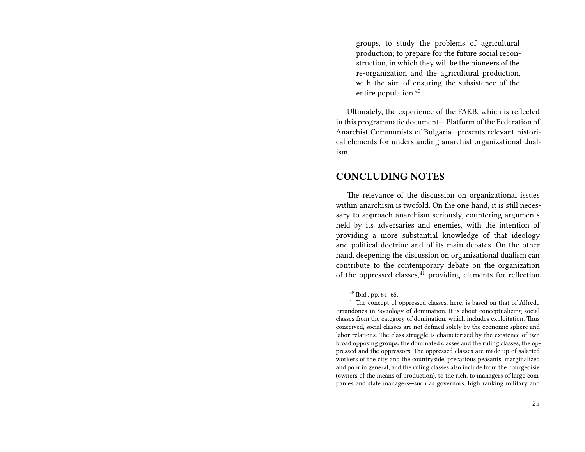groups, to study the problems of agricultural production; to prepare for the future social reconstruction, in which they will be the pioneers of the re-organization and the agricultural production, with the aim of ensuring the subsistence of the entire population.<sup>40</sup>

Ultimately, the experience of the FAKB, which is reflected in this programmatic document— Platform of the Federation of Anarchist Communists of Bulgaria—presents relevant historical elements for understanding anarchist organizational dualism.

#### **CONCLUDING NOTES**

The relevance of the discussion on organizational issues within anarchism is twofold. On the one hand, it is still necessary to approach anarchism seriously, countering arguments held by its adversaries and enemies, with the intention of providing a more substantial knowledge of that ideology and political doctrine and of its main debates. On the other hand, deepening the discussion on organizational dualism can contribute to the contemporary debate on the organization of the oppressed classes, $41$  providing elements for reflection

<sup>40</sup> Ibid., pp. 64–65.

<sup>&</sup>lt;sup>41</sup> The concept of oppressed classes, here, is based on that of Alfredo Errandonea in Sociology of domination. It is about conceptualizing social classes from the category of domination, which includes exploitation. Thus conceived, social classes are not defined solely by the economic sphere and labor relations. The class struggle is characterized by the existence of two broad opposing groups: the dominated classes and the ruling classes, the oppressed and the oppressors. The oppressed classes are made up of salaried workers of the city and the countryside, precarious peasants, marginalized and poor in general; and the ruling classes also include from the bourgeoisie (owners of the means of production), to the rich, to managers of large companies and state managers—such as governors, high ranking military and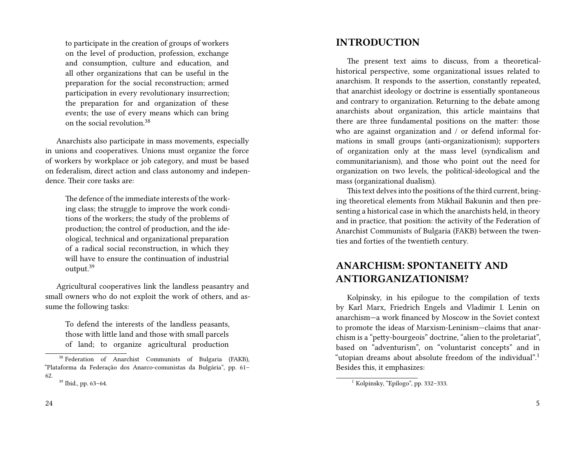to participate in the creation of groups of workers on the level of production, profession, exchange and consumption, culture and education, and all other organizations that can be useful in the preparation for the social reconstruction; armed participation in every revolutionary insurrection; the preparation for and organization of these events; the use of every means which can bring on the social revolution.<sup>38</sup>

Anarchists also participate in mass movements, especially in unions and cooperatives. Unions must organize the force of workers by workplace or job category, and must be based on federalism, direct action and class autonomy and independence. Their core tasks are:

The defence of the immediate interests of the working class; the struggle to improve the work conditions of the workers; the study of the problems of production; the control of production, and the ideological, technical and organizational preparation of a radical social reconstruction, in which they will have to ensure the continuation of industrial output.<sup>39</sup>

Agricultural cooperatives link the landless peasantry and small owners who do not exploit the work of others, and assume the following tasks:

To defend the interests of the landless peasants, those with little land and those with small parcels of land; to organize agricultural production

#### **INTRODUCTION**

The present text aims to discuss, from a theoreticalhistorical perspective, some organizational issues related to anarchism. It responds to the assertion, constantly repeated, that anarchist ideology or doctrine is essentially spontaneous and contrary to organization. Returning to the debate among anarchists about organization, this article maintains that there are three fundamental positions on the matter: those who are against organization and / or defend informal formations in small groups (anti-organizationism); supporters of organization only at the mass level (syndicalism and communitarianism), and those who point out the need for organization on two levels, the political-ideological and the mass (organizational dualism).

This text delves into the positions of the third current, bringing theoretical elements from Mikhail Bakunin and then presenting a historical case in which the anarchists held, in theory and in practice, that position: the activity of the Federation of Anarchist Communists of Bulgaria (FAKB) between the twenties and forties of the twentieth century.

#### **ANARCHISM: SPONTANEITY AND ANTIORGANIZATIONISM?**

Kolpinsky, in his epilogue to the compilation of texts by Karl Marx, Friedrich Engels and Vladimir I. Lenin on anarchism—a work financed by Moscow in the Soviet context to promote the ideas of Marxism-Leninism—claims that anarchism is a "petty-bourgeois" doctrine, "alien to the proletariat", based on "adventurism", on "voluntarist concepts" and in "utopian dreams about absolute freedom of the individual".<sup>1</sup> Besides this, it emphasizes:

<sup>38</sup> Federation of Anarchist Communists of Bulgaria (FAKB), "Plataforma da Federação dos Anarco-comunistas da Bulgária", pp. 61– 62.

<sup>39</sup> Ibid., pp. 63–64.

<sup>&</sup>lt;sup>1</sup> Kolpinsky, "Epílogo", pp. 332-333.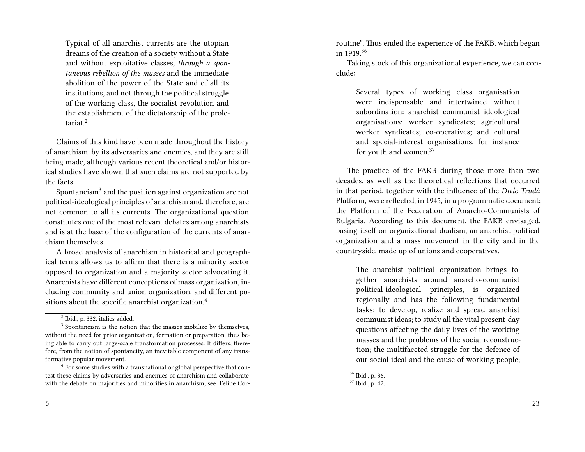Typical of all anarchist currents are the utopian dreams of the creation of a society without a State and without exploitative classes, *through a spontaneous rebellion of the masses* and the immediate abolition of the power of the State and of all its institutions, and not through the political struggle of the working class, the socialist revolution and the establishment of the dictatorship of the proletariat.<sup>2</sup>

Claims of this kind have been made throughout the history of anarchism, by its adversaries and enemies, and they are still being made, although various recent theoretical and/or historical studies have shown that such claims are not supported by the facts.

Spontaneism $^3$  and the position against organization are not political-ideological principles of anarchism and, therefore, are not common to all its currents. The organizational question constitutes one of the most relevant debates among anarchists and is at the base of the configuration of the currents of anarchism themselves.

A broad analysis of anarchism in historical and geographical terms allows us to affirm that there is a minority sector opposed to organization and a majority sector advocating it. Anarchists have different conceptions of mass organization, including community and union organization, and different positions about the specific anarchist organization.<sup>4</sup>

routine". Thus ended the experience of the FAKB, which began in 1919.<sup>36</sup>

Taking stock of this organizational experience, we can conclude:

Several types of working class organisation were indispensable and intertwined without subordination: anarchist communist ideological organisations; worker syndicates; agricultural worker syndicates; co-operatives; and cultural and special-interest organisations, for instance for youth and women.<sup>37</sup>

The practice of the FAKB during those more than two decades, as well as the theoretical reflections that occurred in that period, together with the influence of the *Dielo Trudá* Platform, were reflected, in 1945, in a programmatic document: the Platform of the Federation of Anarcho-Communists of Bulgaria. According to this document, the FAKB envisaged, basing itself on organizational dualism, an anarchist political organization and a mass movement in the city and in the countryside, made up of unions and cooperatives.

The anarchist political organization brings together anarchists around anarcho-communist political-ideological principles, is organized regionally and has the following fundamental tasks: to develop, realize and spread anarchist communist ideas; to study all the vital present-day questions affecting the daily lives of the working masses and the problems of the social reconstruction; the multifaceted struggle for the defence of our social ideal and the cause of working people;

 $^2$  Ibid., p. 332, italics added.

 $3$  Spontaneism is the notion that the masses mobilize by themselves, without the need for prior organization, formation or preparation, thus being able to carry out large-scale transformation processes. It differs, therefore, from the notion of spontaneity, an inevitable component of any transformative popular movement.

<sup>&</sup>lt;sup>4</sup> For some studies with a transnational or global perspective that contest these claims by adversaries and enemies of anarchism and collaborate with the debate on majorities and minorities in anarchism, see: Felipe Cor-

<sup>36</sup> Ibid., p. 36.

<sup>37</sup> Ibid., p. 42.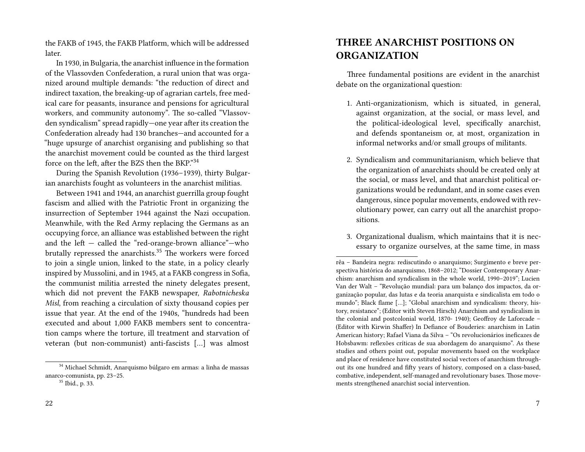the FAKB of 1945, the FAKB Platform, which will be addressed later.

In 1930, in Bulgaria, the anarchist influence in the formation of the Vlassovden Confederation, a rural union that was organized around multiple demands: "the reduction of direct and indirect taxation, the breaking-up of agrarian cartels, free medical care for peasants, insurance and pensions for agricultural workers, and community autonomy". The so-called "Vlassovden syndicalism" spread rapidly—one year after its creation the Confederation already had 130 branches—and accounted for a "huge upsurge of anarchist organising and publishing so that the anarchist movement could be counted as the third largest force on the left, after the BZS then the BKP."34

During the Spanish Revolution (1936–1939), thirty Bulgarian anarchists fought as volunteers in the anarchist militias.

Between 1941 and 1944, an anarchist guerrilla group fought fascism and allied with the Patriotic Front in organizing the insurrection of September 1944 against the Nazi occupation. Meanwhile, with the Red Army replacing the Germans as an occupying force, an alliance was established between the right and the left — called the "red-orange-brown alliance"—who brutally repressed the anarchists.<sup>35</sup> The workers were forced to join a single union, linked to the state, in a policy clearly inspired by Mussolini, and in 1945, at a FAKB congress in Sofia, the communist militia arrested the ninety delegates present, which did not prevent the FAKB newspaper, *Rabotnicheska Misl*, from reaching a circulation of sixty thousand copies per issue that year. At the end of the 1940s, "hundreds had been executed and about 1,000 FAKB members sent to concentration camps where the torture, ill treatment and starvation of veteran (but non-communist) anti-fascists […] was almost

 $^{\rm 34}$  Michael Schmidt, Anarquismo búlgaro em armas: a linha de massas anarco-comunista, pp. 23–25.

#### **THREE ANARCHIST POSITIONS ON ORGANIZATION**

Three fundamental positions are evident in the anarchist debate on the organizational question:

- 1. Anti-organizationism, which is situated, in general, against organization, at the social, or mass level, and the political-ideological level, specifically anarchist, and defends spontaneism or, at most, organization in informal networks and/or small groups of militants.
- 2. Syndicalism and communitarianism, which believe that the organization of anarchists should be created only at the social, or mass level, and that anarchist political organizations would be redundant, and in some cases even dangerous, since popular movements, endowed with revolutionary power, can carry out all the anarchist propositions.
- 3. Organizational dualism, which maintains that it is necessary to organize ourselves, at the same time, in mass

<sup>35</sup> Ibid., p. 33.

rêa – Bandeira negra: rediscutindo o anarquismo; Surgimento e breve perspectiva histórica do anarquismo, 1868–2012; "Dossier Contemporary Anarchism: anarchism and syndicalism in the whole world, 1990–2019"; Lucien Van der Walt – "Revolução mundial: para um balanço dos impactos, da organização popular, das lutas e da teoria anarquista e sindicalista em todo o mundo"; Black flame […]; "Global anarchism and syndicalism: theory, history, resistance"; (Editor with Steven Hirsch) Anarchism and syndicalism in the colonial and postcolonial world, 1870- 1940); Geoffroy de Laforcade – (Editor with Kirwin Shaffer) In Defiance of Bouderies: anarchism in Latin American history; Rafael Viana da Silva – "Os revolucionários ineficazes de Hobsbawm: reflexões críticas de sua abordagem do anarquismo". As these studies and others point out, popular movements based on the workplace and place of residence have constituted social vectors of anarchism throughout its one hundred and fifty years of history, composed on a class-based, combative, independent, self-managed and revolutionary bases. Those movements strengthened anarchist social intervention.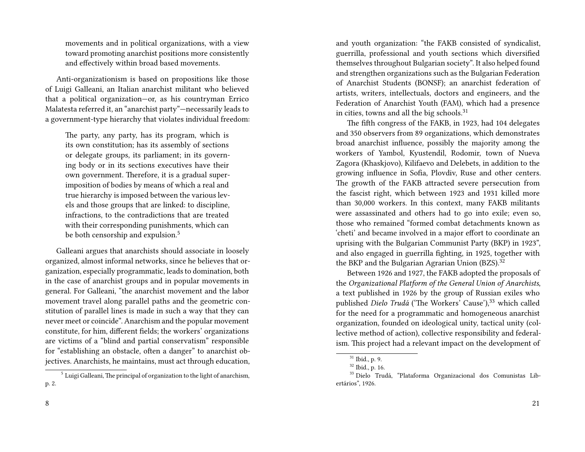movements and in political organizations, with a view toward promoting anarchist positions more consistently and effectively within broad based movements.

Anti-organizationism is based on propositions like those of Luigi Galleani, an Italian anarchist militant who believed that a political organization—or, as his countryman Errico Malatesta referred it, an "anarchist party"—necessarily leads to a government-type hierarchy that violates individual freedom:

The party, any party, has its program, which is its own constitution; has its assembly of sections or delegate groups, its parliament; in its governing body or in its sections executives have their own government. Therefore, it is a gradual superimposition of bodies by means of which a real and true hierarchy is imposed between the various levels and those groups that are linked: to discipline, infractions, to the contradictions that are treated with their corresponding punishments, which can be both censorship and expulsion.<sup>5</sup>

Galleani argues that anarchists should associate in loosely organized, almost informal networks, since he believes that organization, especially programmatic, leads to domination, both in the case of anarchist groups and in popular movements in general. For Galleani, "the anarchist movement and the labor movement travel along parallel paths and the geometric constitution of parallel lines is made in such a way that they can never meet or coincide". Anarchism and the popular movement constitute, for him, different fields; the workers' organizations are victims of a "blind and partial conservatism" responsible for "establishing an obstacle, often a danger" to anarchist objectives. Anarchists, he maintains, must act through education,

8

and youth organization: "the FAKB consisted of syndicalist, guerrilla, professional and youth sections which diversified themselves throughout Bulgarian society". It also helped found and strengthen organizations such as the Bulgarian Federation of Anarchist Students (BONSF); an anarchist federation of artists, writers, intellectuals, doctors and engineers, and the Federation of Anarchist Youth (FAM), which had a presence in cities, towns and all the big schools.<sup>31</sup>

The fifth congress of the FAKB, in 1923, had 104 delegates and 350 observers from 89 organizations, which demonstrates broad anarchist influence, possibly the majority among the workers of Yambol, Kyustendil, Rodomir, town of Nueva Zagora (Khaskjovo), Kilifaevo and Delebets, in addition to the growing influence in Sofia, Plovdiv, Ruse and other centers. The growth of the FAKB attracted severe persecution from the fascist right, which between 1923 and 1931 killed more than 30,000 workers. In this context, many FAKB militants were assassinated and others had to go into exile; even so, those who remained "formed combat detachments known as 'cheti' and became involved in a major effort to coordinate an uprising with the Bulgarian Communist Party (BKP) in 1923", and also engaged in guerrilla fighting, in 1925, together with the BKP and the Bulgarian Agrarian Union (BZS).<sup>32</sup>

Between 1926 and 1927, the FAKB adopted the proposals of the *Organizational Platform of the General Union of Anarchists*, a text published in 1926 by the group of Russian exiles who published *Dielo Trudá* ('The Workers' Cause'),<sup>33</sup> which called for the need for a programmatic and homogeneous anarchist organization, founded on ideological unity, tactical unity (collective method of action), collective responsibility and federalism. This project had a relevant impact on the development of

21

<sup>&</sup>lt;sup>5</sup> Luigi Galleani, The principal of organization to the light of anarchism, p. 2.

 $31$  Ibid., p. 9.

<sup>32</sup> Ibid., p. 16.

<sup>33</sup> Dielo Trudá, "Plataforma Organizacional dos Comunistas Libertários", 1926.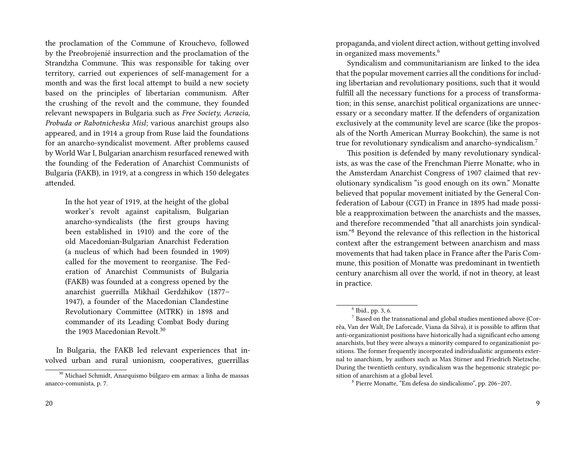the proclamation of the Commune of Krouchevo, followed by the Preobrojenié insurrection and the proclamation of the Strandzha Commune. This was responsible for taking over territory, carried out experiences of self-management for a month and was the first local attempt to build a new society based on the principles of libertarian communism. After the crushing of the revolt and the commune, they founded relevant newspapers in Bulgaria such as *Free Society, Acracia, Probuda or Rabotnicheska Misl*; various anarchist groups also appeared, and in 1914 a group from Ruse laid the foundations for an anarcho-syndicalist movement. After problems caused by World War I, Bulgarian anarchism resurfaced renewed with the founding of the Federation of Anarchist Communists of Bulgaria (FAKB), in 1919, at a congress in which 150 delegates attended.

In the hot year of 1919, at the height of the global worker's revolt against capitalism, Bulgarian anarcho-syndicalists (the first groups having been established in 1910) and the core of the old Macedonian-Bulgarian Anarchist Federation (a nucleus of which had been founded in 1909) called for the movement to reorganise. The Federation of Anarchist Communists of Bulgaria (FAKB) was founded at a congress opened by the anarchist guerrilla Mikhail Gerdzhikov (1877– 1947), a founder of the Macedonian Clandestine Revolutionary Committee (MTRK) in 1898 and commander of its Leading Combat Body during the 1903 Macedonian Revolt.<sup>30</sup>

In Bulgaria, the FAKB led relevant experiences that involved urban and rural unionism, cooperatives, guerrillas

propaganda, and violent direct action, without getting involved in organized mass movements.<sup>6</sup>

Syndicalism and communitarianism are linked to the idea that the popular movement carries all the conditions for including libertarian and revolutionary positions, such that it would fulfill all the necessary functions for a process of transformation; in this sense, anarchist political organizations are unnecessary or a secondary matter. If the defenders of organization exclusively at the community level are scarce (like the proposals of the North American Murray Bookchin), the same is not true for revolutionary syndicalism and anarcho-syndicalism.<sup>7</sup>

This position is defended by many revolutionary syndicalists, as was the case of the Frenchman Pierre Monatte, who in the Amsterdam Anarchist Congress of 1907 claimed that revolutionary syndicalism "is good enough on its own." Monatte believed that popular movement initiated by the General Confederation of Labour (CGT) in France in 1895 had made possible a reapproximation between the anarchists and the masses, and therefore recommended "that all anarchists join syndicalism."<sup>8</sup> Beyond the relevance of this reflection in the historical context after the estrangement between anarchism and mass movements that had taken place in France after the Paris Commune, this position of Monatte was predominant in twentieth century anarchism all over the world, if not in theory, at least in practice.

<sup>30</sup> Michael Schmidt, Anarquismo búlgaro em armas: a linha de massas anarco-comunista, p. 7.

<sup>6</sup> Ibid., pp. 3, 6.

 $7$  Based on the transnational and global studies mentioned above (Corrêa, Van der Walt, De Laforcade, Viana da Silva), it is possible to affirm that anti-organizationist positions have historically had a significant echo among anarchists, but they were always a minority compared to organizationist positions. The former frequently incorporated individualistic arguments external to anarchism, by authors such as Max Stirner and Friedrich Nietzsche. During the twentieth century, syndicalism was the hegemonic strategic position of anarchism at a global level.

<sup>8</sup> Pierre Monatte, "Em defesa do sindicalismo", pp. 206–207.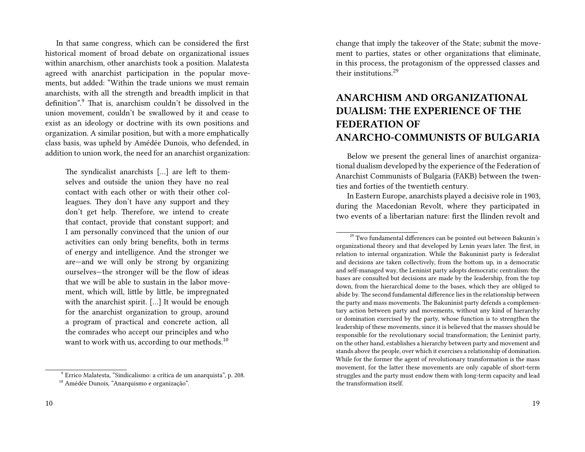In that same congress, which can be considered the first historical moment of broad debate on organizational issues within anarchism, other anarchists took a position. Malatesta agreed with anarchist participation in the popular movements, but added: "Within the trade unions we must remain anarchists, with all the strength and breadth implicit in that definition".<sup>9</sup> That is, anarchism couldn't be dissolved in the union movement, couldn't be swallowed by it and cease to exist as an ideology or doctrine with its own positions and organization. A similar position, but with a more emphatically class basis, was upheld by Amédée Dunois, who defended, in addition to union work, the need for an anarchist organization:

The syndicalist anarchists […] are left to themselves and outside the union they have no real contact with each other or with their other colleagues. They don't have any support and they don't get help. Therefore, we intend to create that contact, provide that constant support; and I am personally convinced that the union of our activities can only bring benefits, both in terms of energy and intelligence. And the stronger we are—and we will only be strong by organizing ourselves—the stronger will be the flow of ideas that we will be able to sustain in the labor movement, which will, little by little, be impregnated with the anarchist spirit. […] It would be enough for the anarchist organization to group, around a program of practical and concrete action, all the comrades who accept our principles and who want to work with us, according to our methods.<sup>10</sup>

9 Errico Malatesta, "Sindicalismo: a crítica de um anarquista", p. 208.

change that imply the takeover of the State; submit the movement to parties, states or other organizations that eliminate, in this process, the protagonism of the oppressed classes and their institutions.<sup>29</sup>

## **ANARCHISM AND ORGANIZATIONAL DUALISM: THE EXPERIENCE OF THE FEDERATION OF ANARCHO-COMMUNISTS OF BULGARIA**

Below we present the general lines of anarchist organizational dualism developed by the experience of the Federation of Anarchist Communists of Bulgaria (FAKB) between the twenties and forties of the twentieth century.

In Eastern Europe, anarchists played a decisive role in 1903, during the Macedonian Revolt, where they participated in two events of a libertarian nature: first the Ilinden revolt and

<sup>&</sup>lt;sup>10</sup> Amédée Dunois, "Anarquismo e organização".

 $29$  Two fundamental differences can be pointed out between Bakunin's organizational theory and that developed by Lenin years later. The first, in relation to internal organization. While the Bakuninist party is federalist and decisions are taken collectively, from the bottom up, in a democratic and self-managed way, the Leninist party adopts democratic centralism: the bases are consulted but decisions are made by the leadership, from the top down, from the hierarchical dome to the bases, which they are obliged to abide by. The second fundamental difference lies in the relationship between the party and mass movements. The Bakuninist party defends a complementary action between party and movements, without any kind of hierarchy or domination exercised by the party, whose function is to strengthen the leadership of these movements, since it is believed that the masses should be responsible for the revolutionary social transformation; the Leninist party, on the other hand, establishes a hierarchy between party and movement and stands above the people, over which it exercises a relationship of domination. While for the former the agent of revolutionary transformation is the mass movement, for the latter these movements are only capable of short-term struggles and the party must endow them with long-term capacity and lead the transformation itself.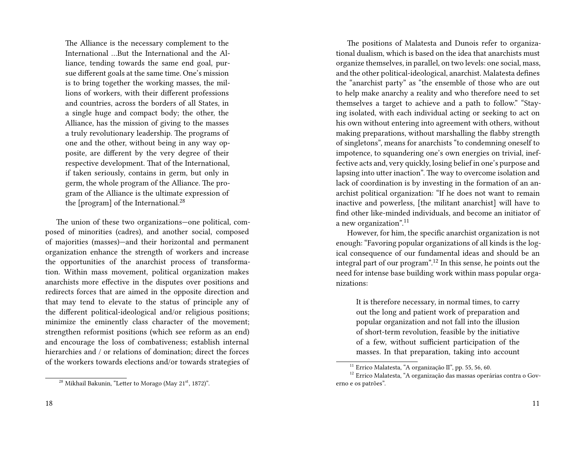The Alliance is the necessary complement to the International …But the International and the Alliance, tending towards the same end goal, pursue different goals at the same time. One's mission is to bring together the working masses, the millions of workers, with their different professions and countries, across the borders of all States, in a single huge and compact body; the other, the Alliance, has the mission of giving to the masses a truly revolutionary leadership. The programs of one and the other, without being in any way opposite, are different by the very degree of their respective development. That of the International, if taken seriously, contains in germ, but only in germ, the whole program of the Alliance. The program of the Alliance is the ultimate expression of the [program] of the International. $^{28}$ 

The union of these two organizations—one political, composed of minorities (cadres), and another social, composed of majorities (masses)—and their horizontal and permanent organization enhance the strength of workers and increase the opportunities of the anarchist process of transformation. Within mass movement, political organization makes anarchists more effective in the disputes over positions and redirects forces that are aimed in the opposite direction and that may tend to elevate to the status of principle any of the different political-ideological and/or religious positions; minimize the eminently class character of the movement; strengthen reformist positions (which see reform as an end) and encourage the loss of combativeness; establish internal hierarchies and / or relations of domination; direct the forces of the workers towards elections and/or towards strategies of

The positions of Malatesta and Dunois refer to organizational dualism, which is based on the idea that anarchists must organize themselves, in parallel, on two levels: one social, mass, and the other political-ideological, anarchist. Malatesta defines the "anarchist party" as "the ensemble of those who are out to help make anarchy a reality and who therefore need to set themselves a target to achieve and a path to follow." "Staying isolated, with each individual acting or seeking to act on his own without entering into agreement with others, without making preparations, without marshalling the flabby strength of singletons", means for anarchists "to condemning oneself to impotence, to squandering one's own energies on trivial, ineffective acts and, very quickly, losing belief in one's purpose and lapsing into utter inaction". The way to overcome isolation and lack of coordination is by investing in the formation of an anarchist political organization: "If he does not want to remain inactive and powerless, [the militant anarchist] will have to find other like-minded individuals, and become an initiator of a new organization".<sup>11</sup>

However, for him, the specific anarchist organization is not enough: "Favoring popular organizations of all kinds is the logical consequence of our fundamental ideas and should be an integral part of our program".<sup>12</sup> In this sense, he points out the need for intense base building work within mass popular organizations:

It is therefore necessary, in normal times, to carry out the long and patient work of preparation and popular organization and not fall into the illusion of short-term revolution, feasible by the initiative of a few, without sufficient participation of the masses. In that preparation, taking into account

 $28$  Mikhail Bakunin, "Letter to Morago (May  $21<sup>st</sup>$ , 1872)".

<sup>11</sup> Errico Malatesta, "A organização II", pp. 55, 56, 60.

<sup>12</sup> Errico Malatesta, "A organização das massas operárias contra o Governo e os patrões".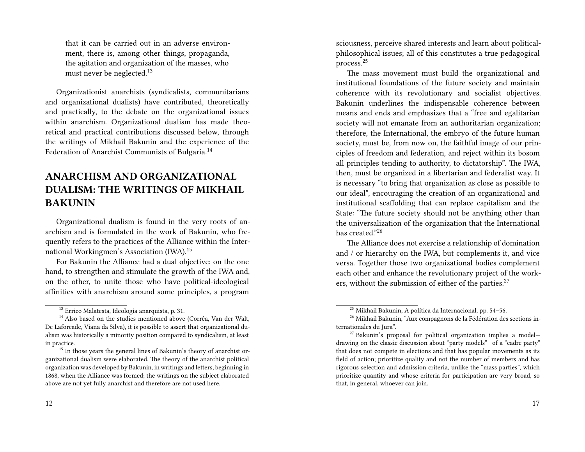that it can be carried out in an adverse environment, there is, among other things, propaganda, the agitation and organization of the masses, who must never be neglected.<sup>13</sup>

Organizationist anarchists (syndicalists, communitarians and organizational dualists) have contributed, theoretically and practically, to the debate on the organizational issues within anarchism. Organizational dualism has made theoretical and practical contributions discussed below, through the writings of Mikhail Bakunin and the experience of the Federation of Anarchist Communists of Bulgaria.<sup>14</sup>

### **ANARCHISM AND ORGANIZATIONAL DUALISM: THE WRITINGS OF MIKHAIL BAKUNIN**

Organizational dualism is found in the very roots of anarchism and is formulated in the work of Bakunin, who frequently refers to the practices of the Alliance within the International Workingmen's Association (IWA).<sup>15</sup>

For Bakunin the Alliance had a dual objective: on the one hand, to strengthen and stimulate the growth of the IWA and, on the other, to unite those who have political-ideological affinities with anarchism around some principles, a program

sciousness, perceive shared interests and learn about politicalphilosophical issues; all of this constitutes a true pedagogical process.<sup>25</sup>

The mass movement must build the organizational and institutional foundations of the future society and maintain coherence with its revolutionary and socialist objectives. Bakunin underlines the indispensable coherence between means and ends and emphasizes that a "free and egalitarian society will not emanate from an authoritarian organization; therefore, the International, the embryo of the future human society, must be, from now on, the faithful image of our principles of freedom and federation, and reject within its bosom all principles tending to authority, to dictatorship". The IWA, then, must be organized in a libertarian and federalist way. It is necessary "to bring that organization as close as possible to our ideal", encouraging the creation of an organizational and institutional scaffolding that can replace capitalism and the State: "The future society should not be anything other than the universalization of the organization that the International has created."<sup>26</sup>

The Alliance does not exercise a relationship of domination and / or hierarchy on the IWA, but complements it, and vice versa. Together those two organizational bodies complement each other and enhance the revolutionary project of the workers, without the submission of either of the parties.<sup>27</sup>

<sup>13</sup> Errico Malatesta, Ideología anarquista, p. 31.

<sup>&</sup>lt;sup>14</sup> Also based on the studies mentioned above (Corrêa, Van der Walt, De Laforcade, Viana da Silva), it is possible to assert that organizational dualism was historically a minority position compared to syndicalism, at least in practice.

 $15$  In those years the general lines of Bakunin's theory of anarchist organizational dualism were elaborated. The theory of the anarchist political organization was developed by Bakunin, in writings and letters, beginning in 1868, when the Alliance was formed; the writings on the subject elaborated above are not yet fully anarchist and therefore are not used here.

<sup>25</sup> Mikhail Bakunin, A política da Internacional, pp. 54–56.

<sup>&</sup>lt;sup>26</sup> Mikhail Bakunin, "Aux compagnons de la Fédération des sections internationales du Jura".

 $27$  Bakunin's proposal for political organization implies a modeldrawing on the classic discussion about "party models"—of a "cadre party" that does not compete in elections and that has popular movements as its field of action; prioritize quality and not the number of members and has rigorous selection and admission criteria, unlike the "mass parties", which prioritize quantity and whose criteria for participation are very broad, so that, in general, whoever can join.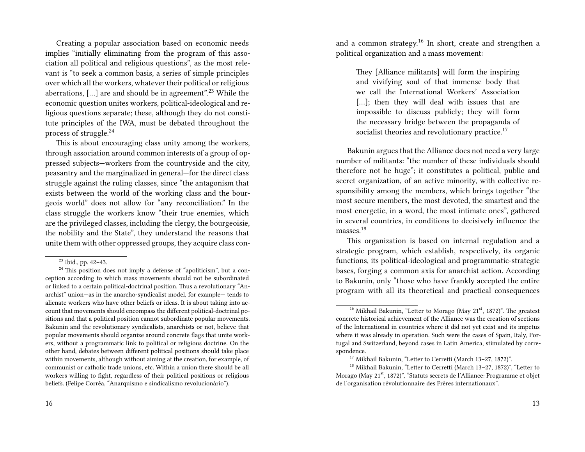Creating a popular association based on economic needs implies "initially eliminating from the program of this association all political and religious questions", as the most relevant is "to seek a common basis, a series of simple principles over which all the workers, whatever their political or religious aberrations,  $[\dots]$  are and should be in agreement".<sup>23</sup> While the economic question unites workers, political-ideological and religious questions separate; these, although they do not constitute principles of the IWA, must be debated throughout the process of struggle.<sup>24</sup>

This is about encouraging class unity among the workers, through association around common interests of a group of oppressed subjects—workers from the countryside and the city, peasantry and the marginalized in general—for the direct class struggle against the ruling classes, since "the antagonism that exists between the world of the working class and the bourgeois world" does not allow for "any reconciliation." In the class struggle the workers know "their true enemies, which are the privileged classes, including the clergy, the bourgeoisie, the nobility and the State", they understand the reasons that unite them with other oppressed groups, they acquire class con-

 $^{24}$  This position does not imply a defense of "apoliticism", but a conception according to which mass movements should not be subordinated or linked to a certain political-doctrinal position. Thus a revolutionary "Anarchist" union—as in the anarcho-syndicalist model, for example— tends to alienate workers who have other beliefs or ideas. It is about taking into account that movements should encompass the different political-doctrinal positions and that a political position cannot subordinate popular movements. Bakunin and the revolutionary syndicalists, anarchists or not, believe that popular movements should organize around concrete flags that unite workers, without a programmatic link to political or religious doctrine. On the other hand, debates between different political positions should take place within movements, although without aiming at the creation, for example, of communist or catholic trade unions, etc. Within a union there should be all workers willing to fight, regardless of their political positions or religious beliefs. (Felipe Corrêa, "Anarquismo e sindicalismo revolucionário").

and a common strategy.<sup>16</sup> In short, create and strengthen a political organization and a mass movement:

> They [Alliance militants] will form the inspiring and vivifying soul of that immense body that we call the International Workers' Association [...]; then they will deal with issues that are impossible to discuss publicly; they will form the necessary bridge between the propaganda of socialist theories and revolutionary practice.<sup>17</sup>

Bakunin argues that the Alliance does not need a very large number of militants: "the number of these individuals should therefore not be huge"; it constitutes a political, public and secret organization, of an active minority, with collective responsibility among the members, which brings together "the most secure members, the most devoted, the smartest and the most energetic, in a word, the most intimate ones", gathered in several countries, in conditions to decisively influence the masses.<sup>18</sup>

This organization is based on internal regulation and a strategic program, which establish, respectively, its organic functions, its political-ideological and programmatic-strategic bases, forging a common axis for anarchist action. According to Bakunin, only "those who have frankly accepted the entire program with all its theoretical and practical consequences

<sup>23</sup> Ibid., pp. 42–43.

<sup>&</sup>lt;sup>16</sup> Mikhail Bakunin, "Letter to Morago (May  $21<sup>st</sup>$ , 1872)". The greatest concrete historical achievement of the Alliance was the creation of sections of the International in countries where it did not yet exist and its impetus where it was already in operation. Such were the cases of Spain, Italy, Portugal and Switzerland, beyond cases in Latin America, stimulated by correspondence.

<sup>17</sup> Mikhail Bakunin, "Letter to Cerretti (March 13–27, 1872)".

<sup>18</sup> Mikhail Bakunin, "Letter to Cerretti (March 13–27, 1872)", "Letter to Morago (May 21st, 1872)", "Statuts secrets de l'Alliance: Programme et objet de l'organisation révolutionnaire des Frères internationaux".